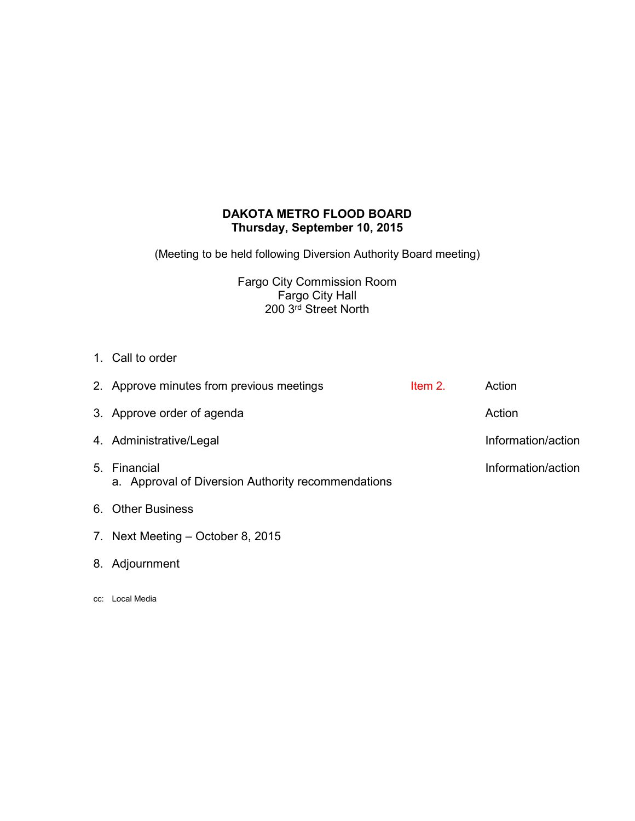## **DAKOTA METRO FLOOD BOARD Thursday, September 10, 2015**

(Meeting to be held following Diversion Authority Board meeting)

Fargo City Commission Room Fargo City Hall 200 3rd Street North

1. Call to order

| 2. Approve minutes from previous meetings                          | Item $21$ | Action             |
|--------------------------------------------------------------------|-----------|--------------------|
| 3. Approve order of agenda                                         |           | Action             |
| 4. Administrative/Legal                                            |           | Information/action |
| 5. Financial<br>a. Approval of Diversion Authority recommendations |           | Information/action |
| 6. Other Business                                                  |           |                    |

- 7. Next Meeting October 8, 2015
- 8. Adjournment
- cc: Local Media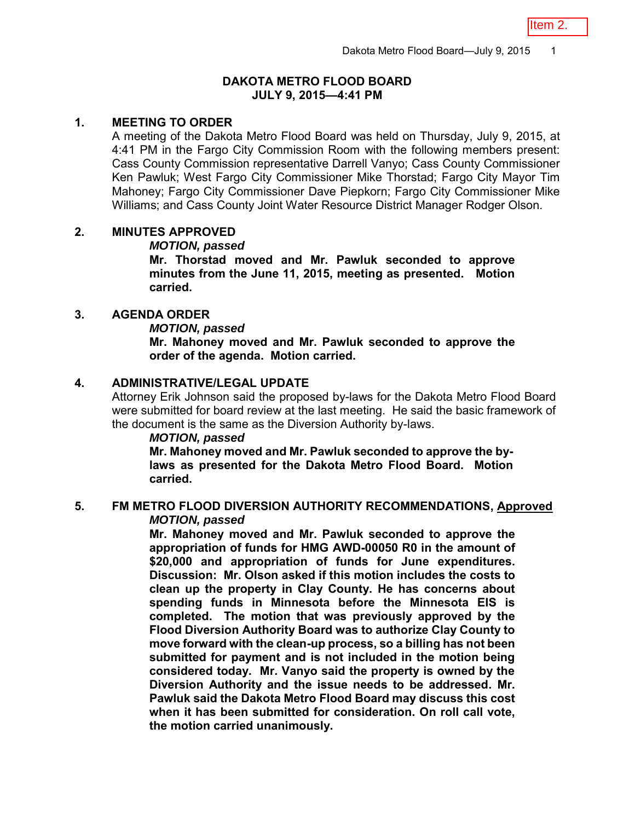## **DAKOTA METRO FLOOD BOARD JULY 9, 2015—4:41 PM**

## **1. MEETING TO ORDER**

A meeting of the Dakota Metro Flood Board was held on Thursday, July 9, 2015, at 4:41 PM in the Fargo City Commission Room with the following members present: Cass County Commission representative Darrell Vanyo; Cass County Commissioner Ken Pawluk; West Fargo City Commissioner Mike Thorstad; Fargo City Mayor Tim Mahoney; Fargo City Commissioner Dave Piepkorn; Fargo City Commissioner Mike Williams; and Cass County Joint Water Resource District Manager Rodger Olson.

## **2. MINUTES APPROVED**

## *MOTION, passed*

**Mr. Thorstad moved and Mr. Pawluk seconded to approve minutes from the June 11, 2015, meeting as presented. Motion carried.** 

## **3. AGENDA ORDER**

#### *MOTION, passed*

**Mr. Mahoney moved and Mr. Pawluk seconded to approve the order of the agenda. Motion carried.** 

# **4. ADMINISTRATIVE/LEGAL UPDATE**

Attorney Erik Johnson said the proposed by-laws for the Dakota Metro Flood Board were submitted for board review at the last meeting. He said the basic framework of the document is the same as the Diversion Authority by-laws.

## *MOTION, passed*

**Mr. Mahoney moved and Mr. Pawluk seconded to approve the bylaws as presented for the Dakota Metro Flood Board. Motion carried.** 

#### **5. FM METRO FLOOD DIVERSION AUTHORITY RECOMMENDATIONS, Approved**  *MOTION, passed*

**Mr. Mahoney moved and Mr. Pawluk seconded to approve the appropriation of funds for HMG AWD-00050 R0 in the amount of \$20,000 and appropriation of funds for June expenditures. Discussion: Mr. Olson asked if this motion includes the costs to clean up the property in Clay County. He has concerns about spending funds in Minnesota before the Minnesota EIS is completed. The motion that was previously approved by the Flood Diversion Authority Board was to authorize Clay County to move forward with the clean-up process, so a billing has not been submitted for payment and is not included in the motion being considered today. Mr. Vanyo said the property is owned by the Diversion Authority and the issue needs to be addressed. Mr. Pawluk said the Dakota Metro Flood Board may discuss this cost when it has been submitted for consideration. On roll call vote, the motion carried unanimously.**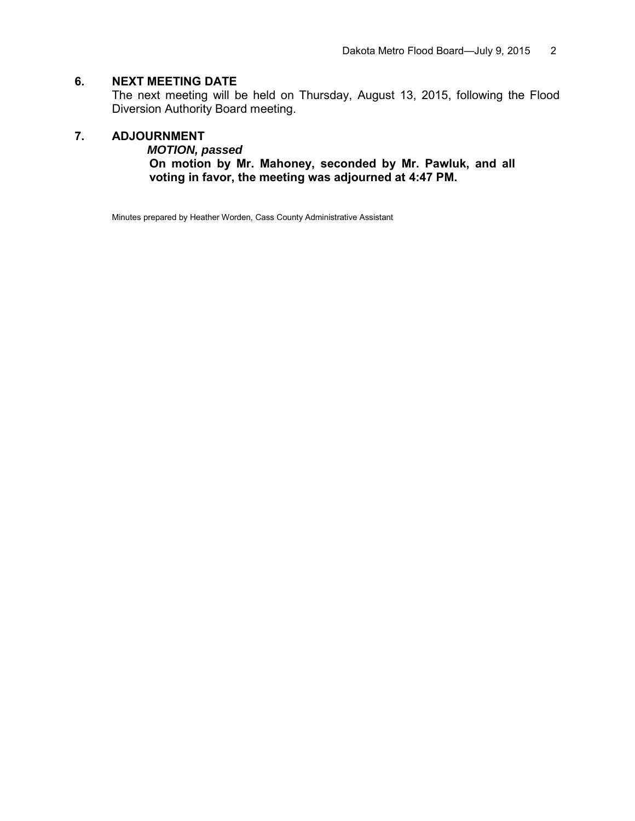# **6. NEXT MEETING DATE**

The next meeting will be held on Thursday, August 13, 2015, following the Flood Diversion Authority Board meeting.

## **7. ADJOURNMENT**

*MOTION, passed*

**On motion by Mr. Mahoney, seconded by Mr. Pawluk, and all voting in favor, the meeting was adjourned at 4:47 PM.** 

Minutes prepared by Heather Worden, Cass County Administrative Assistant